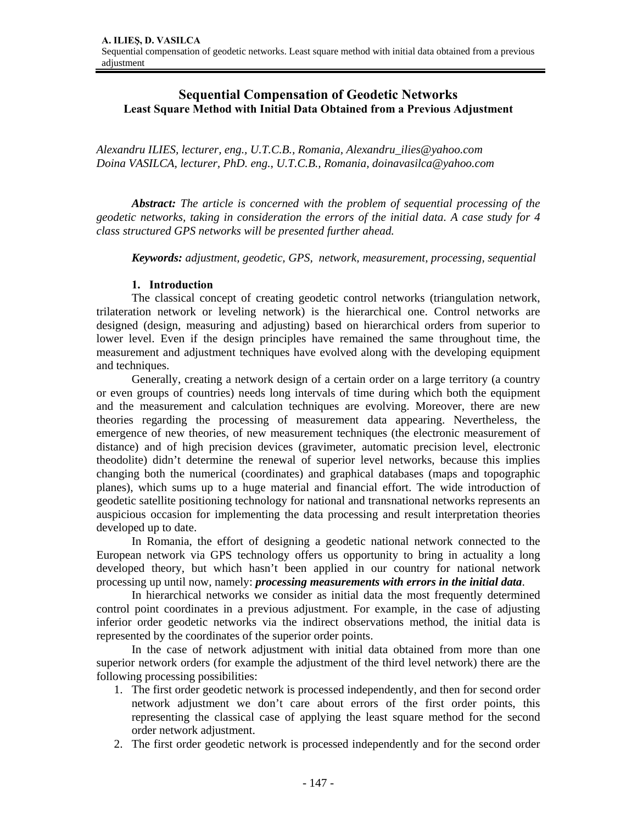# **Sequential Compensation of Geodetic Networks Least Square Method with Initial Data Obtained from a Previous Adjustment**

*Alexandru ILIES, lecturer, eng., U.T.C.B., Romania, Alexandru\_ilies@yahoo.com Doina VASILCA, lecturer, PhD. eng., U.T.C.B., Romania, doinavasilca@yahoo.com* 

*Abstract: The article is concerned with the problem of sequential processing of the geodetic networks, taking in consideration the errors of the initial data. A case study for 4 class structured GPS networks will be presented further ahead.* 

 *Keywords: adjustment, geodetic, GPS, network, measurement, processing, sequential* 

#### **1. Introduction**

The classical concept of creating geodetic control networks (triangulation network, trilateration network or leveling network) is the hierarchical one. Control networks are designed (design, measuring and adjusting) based on hierarchical orders from superior to lower level. Even if the design principles have remained the same throughout time, the measurement and adjustment techniques have evolved along with the developing equipment and techniques.

 Generally, creating a network design of a certain order on a large territory (a country or even groups of countries) needs long intervals of time during which both the equipment and the measurement and calculation techniques are evolving. Moreover, there are new theories regarding the processing of measurement data appearing. Nevertheless, the emergence of new theories, of new measurement techniques (the electronic measurement of distance) and of high precision devices (gravimeter, automatic precision level, electronic theodolite) didn't determine the renewal of superior level networks, because this implies changing both the numerical (coordinates) and graphical databases (maps and topographic planes), which sums up to a huge material and financial effort. The wide introduction of geodetic satellite positioning technology for national and transnational networks represents an auspicious occasion for implementing the data processing and result interpretation theories developed up to date.

 In Romania, the effort of designing a geodetic national network connected to the European network via GPS technology offers us opportunity to bring in actuality a long developed theory, but which hasn't been applied in our country for national network processing up until now, namely: *processing measurements with errors in the initial data*.

 In hierarchical networks we consider as initial data the most frequently determined control point coordinates in a previous adjustment. For example, in the case of adjusting inferior order geodetic networks via the indirect observations method, the initial data is represented by the coordinates of the superior order points.

 In the case of network adjustment with initial data obtained from more than one superior network orders (for example the adjustment of the third level network) there are the following processing possibilities:

- 1. The first order geodetic network is processed independently, and then for second order network adjustment we don't care about errors of the first order points, this representing the classical case of applying the least square method for the second order network adjustment.
- 2. The first order geodetic network is processed independently and for the second order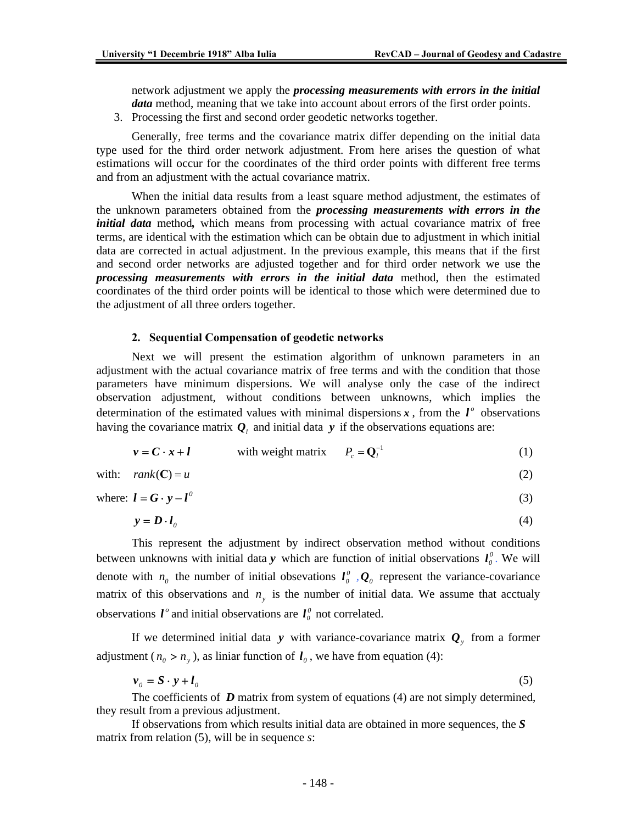network adjustment we apply the *processing measurements with errors in the initial data* method, meaning that we take into account about errors of the first order points.

3. Processing the first and second order geodetic networks together.

Generally, free terms and the covariance matrix differ depending on the initial data type used for the third order network adjustment. From here arises the question of what estimations will occur for the coordinates of the third order points with different free terms and from an adjustment with the actual covariance matrix.

When the initial data results from a least square method adjustment, the estimates of the unknown parameters obtained from the *processing measurements with errors in the initial data* method, which means from processing with actual covariance matrix of free terms, are identical with the estimation which can be obtain due to adjustment in which initial data are corrected in actual adjustment. In the previous example, this means that if the first and second order networks are adjusted together and for third order network we use the *processing measurements with errors in the initial data* method, then the estimated coordinates of the third order points will be identical to those which were determined due to the adjustment of all three orders together.

#### **2. Sequential Compensation of geodetic networks**

Next we will present the estimation algorithm of unknown parameters in an adjustment with the actual covariance matrix of free terms and with the condition that those parameters have minimum dispersions. We will analyse only the case of the indirect observation adjustment, without conditions between unknowns, which implies the determination of the estimated values with minimal dispersions  $x$ , from the  $l^{\circ}$  observations having the covariance matrix  $Q_i$  and initial data  $y$  if the observations equations are:

$$
v = C \cdot x + l \qquad \text{with weight matrix} \qquad P_c = Q_l^{-1} \tag{1}
$$

with: 
$$
rank(C) = u
$$
 (2)

where:  $\mathbf{l} = \mathbf{G} \cdot \mathbf{y} - \mathbf{l}^0$  (3)

$$
y = D \cdot l_0 \tag{4}
$$

 This represent the adjustment by indirect observation method without conditions between unknowns with initial data *y* which are function of initial observations  $l_0^0$ . We will denote with  $n_0$  the number of initial obsevations  $l_0^0$ ,  $Q_0$  represent the variance-covariance matrix of this observations and  $n<sub>y</sub>$  is the number of initial data. We assume that acctualy observations  $\mathbf{l}^{\circ}$  and initial observations are  $\mathbf{l}^{\circ}$  not correlated.

If we determined initial data *y* with variance-covariance matrix  $Q<sub>y</sub>$  from a former adjustment ( $n_0 > n_y$ ), as liniar function of  $l_0$ , we have from equation (4):

$$
\mathbf{v}_0 = \mathbf{S} \cdot \mathbf{y} + \mathbf{I}_0 \tag{5}
$$

The coefficients of *D* matrix from system of equations (4) are not simply determined, they result from a previous adjustment.

 If observations from which results initial data are obtained in more sequences, the *S*  matrix from relation (5), will be in sequence *s*: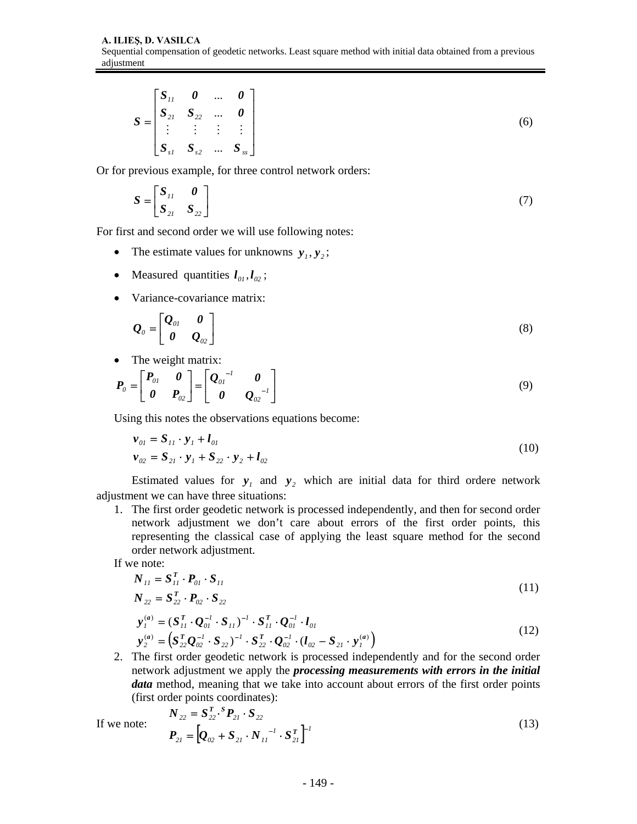$$
S = \begin{bmatrix} S_{11} & 0 & \dots & 0 \\ S_{21} & S_{22} & \dots & 0 \\ \vdots & \vdots & \vdots & \vdots \\ S_{s1} & S_{s2} & \dots & S_{ss} \end{bmatrix} \tag{6}
$$

Or for previous example, for three control network orders:

$$
S = \begin{bmatrix} S_{11} & 0 \\ S_{21} & S_{22} \end{bmatrix} \tag{7}
$$

For first and second order we will use following notes:

- The estimate values for unknowns  $y_1, y_2$ ;
- Measured quantities  $l_{0l}$ ,  $l_{02}$ ;
- Variance-covariance matrix:

$$
\mathbf{Q}_o = \begin{bmatrix} \mathbf{Q}_{o1} & \mathbf{0} \\ \mathbf{0} & \mathbf{Q}_{o2} \end{bmatrix} \tag{8}
$$

• The weight matrix:

$$
\boldsymbol{P}_o = \begin{bmatrix} \boldsymbol{P}_{0l} & \boldsymbol{0} \\ \boldsymbol{0} & \boldsymbol{P}_{02} \end{bmatrix} = \begin{bmatrix} \boldsymbol{Q}_{0l}^{-1} & \boldsymbol{0} \\ \boldsymbol{0} & \boldsymbol{Q}_{02}^{-1} \end{bmatrix}
$$
\n(9)

Using this notes the observations equations become:

$$
\begin{aligned} \mathbf{v}_{01} &= \mathbf{S}_{11} \cdot \mathbf{y}_1 + \mathbf{I}_{01} \\ \mathbf{v}_{02} &= \mathbf{S}_{21} \cdot \mathbf{y}_1 + \mathbf{S}_{22} \cdot \mathbf{y}_2 + \mathbf{I}_{02} \end{aligned} \tag{10}
$$

Estimated values for  $y_1$  and  $y_2$  which are initial data for third ordere network adjustment we can have three situations:

1. The first order geodetic network is processed independently, and then for second order network adjustment we don't care about errors of the first order points, this representing the classical case of applying the least square method for the second order network adjustment.

If we note:

$$
N_{11} = S_{11}^T \cdot P_{01} \cdot S_{11} N_{22} = S_{22}^T \cdot P_{02} \cdot S_{22}
$$
\n(11)

$$
\mathbf{y}_{1}^{(a)} = (\mathbf{S}_{11}^{T} \cdot \mathbf{Q}_{01}^{-1} \cdot \mathbf{S}_{11})^{-1} \cdot \mathbf{S}_{11}^{T} \cdot \mathbf{Q}_{01}^{-1} \cdot \mathbf{l}_{01} \n\mathbf{y}_{2}^{(a)} = (\mathbf{S}_{22}^{T} \mathbf{Q}_{02}^{-1} \cdot \mathbf{S}_{22})^{-1} \cdot \mathbf{S}_{22}^{T} \cdot \mathbf{Q}_{02}^{-1} \cdot (\mathbf{l}_{02} - \mathbf{S}_{21} \cdot \mathbf{y}_{1}^{(a)})
$$
\n(12)

2. The first order geodetic network is processed independently and for the second order network adjustment we apply the *processing measurements with errors in the initial data* method, meaning that we take into account about errors of the first order points (first order points coordinates):

If we note: 
$$
N_{22} = S_{22}^T \cdot {}^S P_{21} \cdot S_{22}
$$

$$
P_{21} = [Q_{02} + S_{21} \cdot N_{11}^{-1} \cdot S_{21}^T]^{-1}
$$
(13)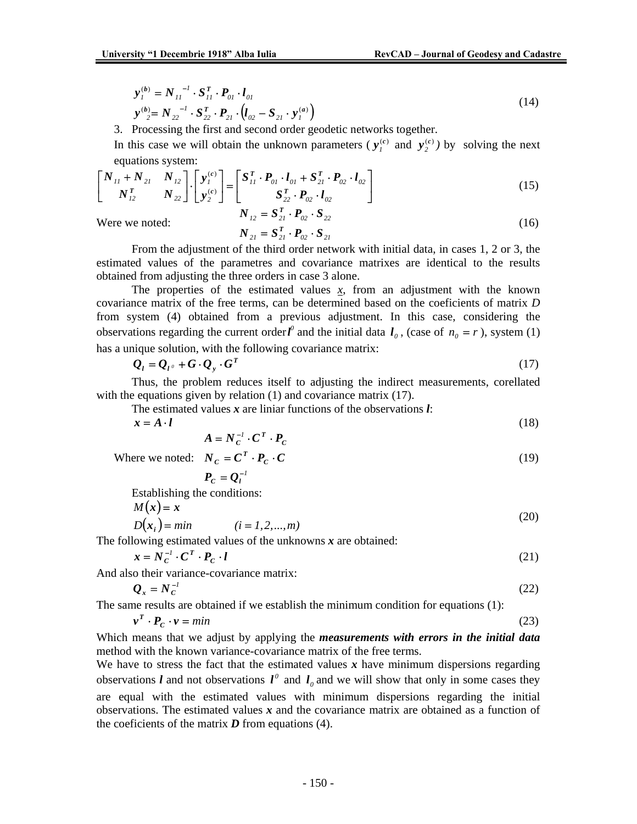$$
\mathbf{y}_{1}^{(b)} = N_{11}^{-1} \cdot S_{11}^{T} \cdot P_{01} \cdot l_{01} \n\mathbf{y}_{2}^{(b)} = N_{22}^{-1} \cdot S_{22}^{T} \cdot P_{21} \cdot (l_{02} - S_{21} \cdot \mathbf{y}_{1}^{(a)})
$$
\n(14)

3. Processing the first and second order geodetic networks together.

In this case we will obtain the unknown parameters ( $y_i^{(c)}$  and  $y_j^{(c)}$ ) by solving the next equations system:

$$
\begin{bmatrix} N_{11} + N_{21} & N_{12} \ N_{12}^T & N_{22} \end{bmatrix} \cdot \begin{bmatrix} y_1^{(c)} \ y_2^{(c)} \end{bmatrix} = \begin{bmatrix} S_{11}^T \cdot P_{01} \cdot l_{01} + S_{21}^T \cdot P_{02} \cdot l_{02} \ S_{22}^T \cdot P_{02} \cdot l_{02} \end{bmatrix}
$$
 (15)

Were we noted:

$$
N_{12} = S_{21}^T \cdot P_{02} \cdot S_{22}
$$
  
\n
$$
N_{21} = S_{21}^T \cdot P_{02} \cdot S_{21}
$$
\n(16)

From the adjustment of the third order network with initial data, in cases 1, 2 or 3, the estimated values of the parametres and covariance matrixes are identical to the results obtained from adjusting the three orders in case 3 alone.

The properties of the estimated values  $x$ , from an adjustment with the known covariance matrix of the free terms, can be determined based on the coeficients of matrix *D* from system (4) obtained from a previous adjustment. In this case, considering the observations regarding the current order  $l^0$  and the initial data  $l_0$ , (case of  $n_0 = r$ ), system (1) has a unique solution, with the following covariance matrix:

$$
Q_l = Q_{l^0} + G \cdot Q_y \cdot G^T \tag{17}
$$

Thus, the problem reduces itself to adjusting the indirect measurements, corellated with the equations given by relation (1) and covariance matrix (17).

The estimated values *x* are liniar functions of the observations *l*:

 $x = A \cdot l$  (18)

$$
A = N_C^{-1} \cdot C^T \cdot P_C
$$

(19)

Where we noted:  $N_c = C^T \cdot P_c \cdot C$ 

$$
P_C = Q_I^{-1}
$$

Establishing the conditions:

 $M(x) = x$ 

$$
D(x_i) = min \t\t (i = 1, 2, ..., m)
$$
\t(20)

The following estimated values of the unknowns *x* are obtained:

$$
x = N_C^{-1} \cdot C^T \cdot P_C \cdot l \tag{21}
$$

And also their variance-covariance matrix:

$$
\mathcal{Q}_x = N_C^{-1} \tag{22}
$$

The same results are obtained if we establish the minimum condition for equations (1):

$$
\mathbf{v}^T \cdot \mathbf{P}_c \cdot \mathbf{v} = \min \tag{23}
$$

Which means that we adjust by applying the *measurements with errors in the initial data* method with the known variance-covariance matrix of the free terms.

We have to stress the fact that the estimated values x have minimum dispersions regarding observations *l* and not observations  $l^{\circ}$  and  $l_{\circ}$  and we will show that only in some cases they are equal with the estimated values with minimum dispersions regarding the initial observations. The estimated values  $x$  and the covariance matrix are obtained as a function of the coeficients of the matrix  $D$  from equations (4).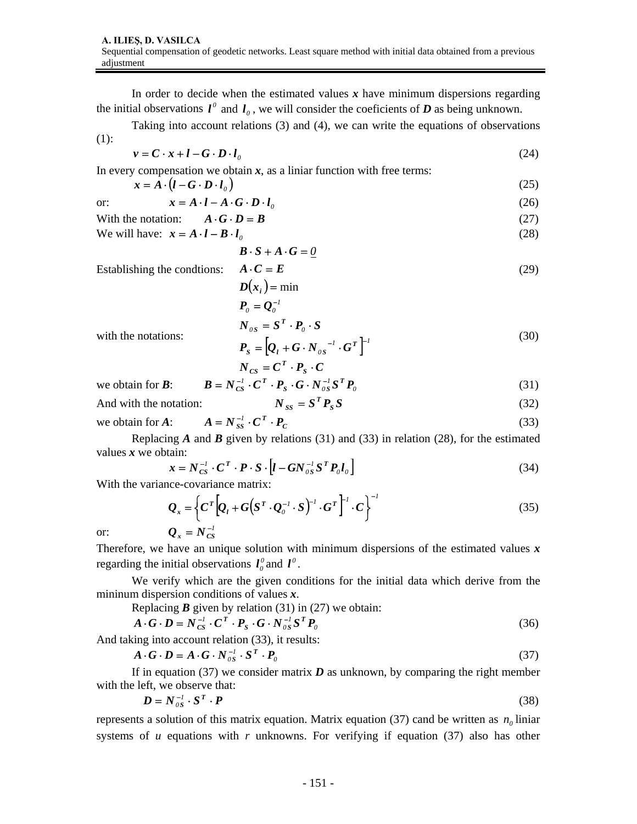In order to decide when the estimated values  $x$  have minimum dispersions regarding the initial observations  $l^{\circ}$  and  $l_{\circ}$ , we will consider the coeficients of *D* as being unknown.

 Taking into account relations (3) and (4), we can write the equations of observations (1):

$$
v = C \cdot x + l - G \cdot D \cdot l_0 \tag{24}
$$

In every compensation we obtain  $x$ , as a liniar function with free terms:

$$
x = A \cdot (l - G \cdot D \cdot l_o)
$$
  
or: 
$$
x = A \cdot l - A \cdot G \cdot D \cdot l_o
$$
 (26)

$$
\begin{array}{ll}\n\text{with the notation:} & A \cdot \mathbf{G} \cdot \mathbf{D} = \mathbf{B} \\
\text{With the notation:} & A \cdot \mathbf{G} \cdot \mathbf{D} = \mathbf{B}\n\end{array}\n\tag{27}
$$

We will have: 
$$
x = A \cdot l - B \cdot l_0
$$
 (28)

$$
B\cdot S + A\cdot G = 0
$$

Establishing the condtions:

$$
\mathbf{A} \cdot \mathbf{C} = \mathbf{E}
$$
  
\n
$$
\mathbf{D}(\mathbf{x}_i) = \min \tag{29}
$$
  
\n
$$
\mathbf{P}_0 = \mathbf{Q}_0^{-1}
$$

with the notations:

$$
N_{OS} = S^T \cdot P_0 \cdot S
$$
  
\n
$$
P_S = [Q_l + G \cdot N_{OS}^{-1} \cdot G^T]^{-1}
$$
\n(30)

$$
N_{CS} = C^T \cdot P_S \cdot C
$$
  
we obtain for **B**: 
$$
B = N_{CS}^{-1} \cdot C^T \cdot P_S \cdot G \cdot N_{OS}^{-1} S^T P_O
$$
 (31)

And with the notation:  $N_{SS} = S^T P_S S$  (32)

we obtain for *A*:  $A = N_{ss}^{-1} \cdot C^T \cdot P_c$  (33)

Replacing *A* and *B* given by relations (31) and (33) in relation (28), for the estimated values *x* we obtain:

$$
\mathbf{x} = N_{CS}^{-1} \cdot \mathbf{C}^T \cdot \mathbf{P} \cdot \mathbf{S} \cdot \left[ \mathbf{l} - G N_{OS}^{-1} \mathbf{S}^T \mathbf{P}_0 \mathbf{l}_0 \right]
$$
(34)

With the variance-covariance matrix:

or:  
\n
$$
Q_x = \left\{ C^T \left[ Q_t + G \left( S^T \cdot Q_0^{-1} \cdot S \right)^{-1} \cdot G^T \right]^{\perp} \cdot C \right\}^{-1}
$$
\n
$$
Q_x = N_{CS}^{-1}
$$
\n(35)

Therefore, we have an unique solution with minimum dispersions of the estimated values *x* regarding the initial observations  $l_0^0$  and  $l^0$ .

We verify which are the given conditions for the initial data which derive from the mininum dispersion conditions of values *x*.

Replacing 
$$
B
$$
 given by relation (31) in (27) we obtain:

$$
A \cdot G \cdot D = N_{CS}^{-1} \cdot C^T \cdot P_S \cdot G \cdot N_{OS}^{-1} S^T P_0 \tag{36}
$$

And taking into account relation (33), it results:

$$
\mathbf{A} \cdot \mathbf{G} \cdot \mathbf{D} = \mathbf{A} \cdot \mathbf{G} \cdot \mathbf{N}_{os}^{-1} \cdot \mathbf{S}^T \cdot \mathbf{P}_o \tag{37}
$$

If in equation (37) we consider matrix  $\boldsymbol{D}$  as unknown, by comparing the right member with the left, we observe that:

$$
D = N_{os}^{-1} \cdot S^T \cdot P \tag{38}
$$

represents a solution of this matrix equation. Matrix equation (37) cand be written as  $n_0$  liniar systems of *u* equations with *r* unknowns. For verifying if equation (37) also has other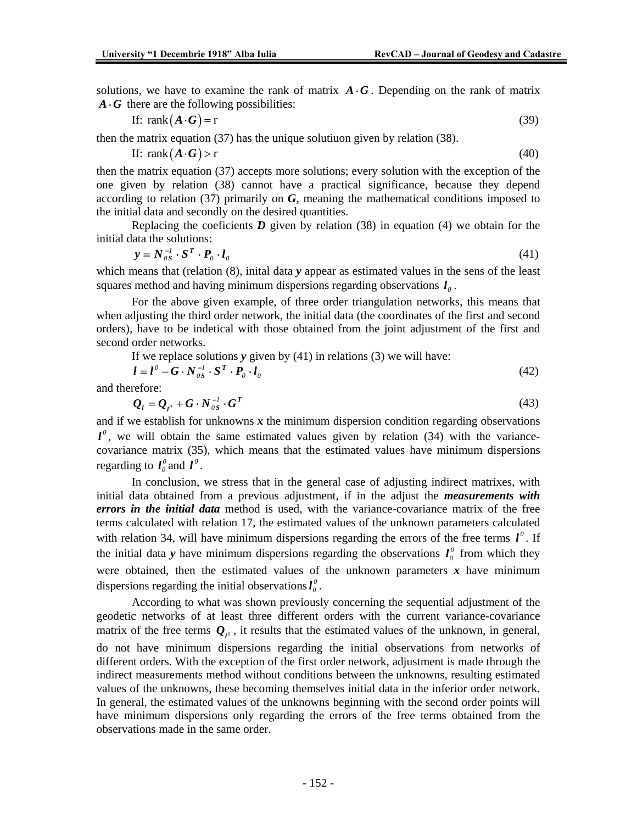solutions, we have to examine the rank of matrix  $\vec{A} \cdot \vec{G}$ . Depending on the rank of matrix  $\vec{A} \cdot \vec{G}$  there are the following possibilities:

$$
\text{If: } \text{rank}\left(\mathbf{A} \cdot \mathbf{G}\right) = \text{r} \tag{39}
$$

then the matrix equation (37) has the unique solutiuon given by relation (38).

If: rank
$$
(A \cdot G)
$$
 > r (40)

then the matrix equation (37) accepts more solutions; every solution with the exception of the one given by relation (38) cannot have a practical significance, because they depend according to relation (37) primarily on *G*, meaning the mathematical conditions imposed to the initial data and secondly on the desired quantities.

Replacing the coeficients  $D$  given by relation (38) in equation (4) we obtain for the initial data the solutions:

$$
\mathbf{y} = N_{os}^{-1} \cdot \mathbf{S}^T \cdot \mathbf{P}_o \cdot \mathbf{l}_o \tag{41}
$$

which means that (relation (8), initial data *y* appear as estimated values in the sens of the least squares method and having minimum dispersions regarding observations  $I<sub>o</sub>$ .

 For the above given example, of three order triangulation networks, this means that when adjusting the third order network, the initial data (the coordinates of the first and second orders), have to be indetical with those obtained from the joint adjustment of the first and second order networks.

If we replace solutions *y* given by (41) in relations (3) we will have:

$$
l = l^0 - G \cdot N_{os}^{-1} \cdot S^T \cdot P_o \cdot l_o \tag{42}
$$

and therefore:

$$
\mathbf{Q}_l = \mathbf{Q}_{l^0} + \mathbf{G} \cdot \mathbf{N}_{0S}^{-1} \cdot \mathbf{G}^T
$$
\n(43)

and if we establish for unknowns  $x$  the minimum dispersion condition regarding observations  $l^{\circ}$ , we will obtain the same estimated values given by relation (34) with the variancecovariance matrix (35), which means that the estimated values have minimum dispersions regarding to  $I_0^0$  and  $I^0$ .

 In conclusion, we stress that in the general case of adjusting indirect matrixes, with initial data obtained from a previous adjustment, if in the adjust the *measurements with errors in the initial data* method is used, with the variance-covariance matrix of the free terms calculated with relation 17, the estimated values of the unknown parameters calculated with relation 34, will have minimum dispersions regarding the errors of the free terms  $\mathbf{l}^{\circ}$ . If the initial data *y* have minimum dispersions regarding the observations  $l_0^0$  from which they were obtained, then the estimated values of the unknown parameters  $x$  have minimum dispersions regarding the initial observations  $I_0^0$ .

 According to what was shown previously concerning the sequential adjustment of the geodetic networks of at least three different orders with the current variance-covariance matrix of the free terms  $Q_{l^0}$ , it results that the estimated values of the unknown, in general, do not have minimum dispersions regarding the initial observations from networks of different orders. With the exception of the first order network, adjustment is made through the indirect measurements method without conditions between the unknowns, resulting estimated values of the unknowns, these becoming themselves initial data in the inferior order network. In general, the estimated values of the unknowns beginning with the second order points will have minimum dispersions only regarding the errors of the free terms obtained from the observations made in the same order.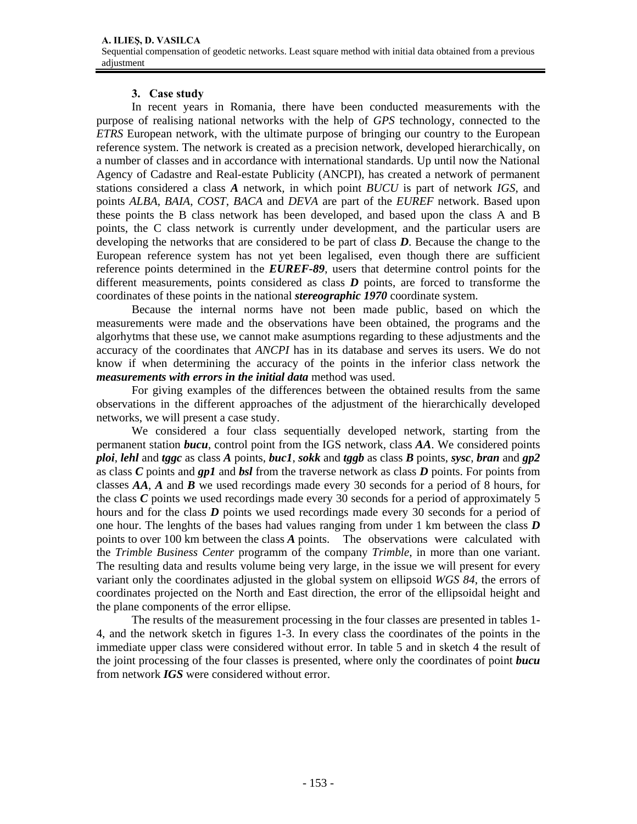## **3. Case study**

 In recent years in Romania, there have been conducted measurements with the purpose of realising national networks with the help of *GPS* technology, connected to the *ETRS* European network, with the ultimate purpose of bringing our country to the European reference system. The network is created as a precision network, developed hierarchically, on a number of classes and in accordance with international standards. Up until now the National Agency of Cadastre and Real-estate Publicity (ANCPI), has created a network of permanent stations considered a class *A* network, in which point *BUCU* is part of network *IGS*, and points *ALBA*, *BAIA*, *COST*, *BACA* and *DEVA* are part of the *EUREF* network. Based upon these points the B class network has been developed, and based upon the class A and B points, the C class network is currently under development, and the particular users are developing the networks that are considered to be part of class *D*. Because the change to the European reference system has not yet been legalised, even though there are sufficient reference points determined in the *EUREF-89*, users that determine control points for the different measurements, points considered as class *D* points, are forced to transforme the coordinates of these points in the national *stereographic 1970* coordinate system.

 Because the internal norms have not been made public, based on which the measurements were made and the observations have been obtained, the programs and the algorhytms that these use, we cannot make asumptions regarding to these adjustments and the accuracy of the coordinates that *ANCPI* has in its database and serves its users. We do not know if when determining the accuracy of the points in the inferior class network the *measurements with errors in the initial data* method was used.

 For giving examples of the differences between the obtained results from the same observations in the different approaches of the adjustment of the hierarchically developed networks, we will present a case study.

 We considered a four class sequentially developed network, starting from the permanent station *bucu*, control point from the IGS network, class *AA*. We considered points *ploi*, *lehl* and *tggc* as class *A* points, *buc1*, *sokk* and *tggb* as class *B* points, *sysc*, *bran* and *gp2* as class *C* points and *gp1* and *bsl* from the traverse network as class *D* points. For points from classes *AA*, *A* and *B* we used recordings made every 30 seconds for a period of 8 hours, for the class *C* points we used recordings made every 30 seconds for a period of approximately 5 hours and for the class *D* points we used recordings made every 30 seconds for a period of one hour. The lenghts of the bases had values ranging from under 1 km between the class *D* points to over 100 km between the class *A* points. The observations were calculated with the *Trimble Business Center* programm of the company *Trimble*, in more than one variant. The resulting data and results volume being very large, in the issue we will present for every variant only the coordinates adjusted in the global system on ellipsoid *WGS 84*, the errors of coordinates projected on the North and East direction, the error of the ellipsoidal height and the plane components of the error ellipse.

 The results of the measurement processing in the four classes are presented in tables 1- 4, and the network sketch in figures 1-3. In every class the coordinates of the points in the immediate upper class were considered without error. In table 5 and in sketch 4 the result of the joint processing of the four classes is presented, where only the coordinates of point *bucu* from network *IGS* were considered without error.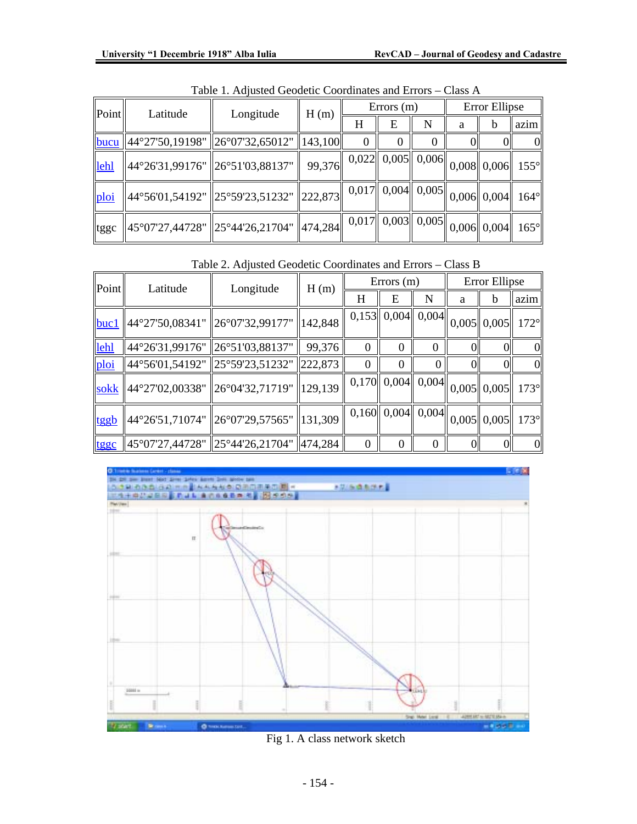| Point | Latitude                                                                                                                                                                               | Longitude | H(m)                                                                                                         | $\text{Errors} \text{ (m)}$ |   |   |   |  | Error Ellipse |  |
|-------|----------------------------------------------------------------------------------------------------------------------------------------------------------------------------------------|-----------|--------------------------------------------------------------------------------------------------------------|-----------------------------|---|---|---|--|---------------|--|
|       |                                                                                                                                                                                        |           |                                                                                                              | Η                           | E | N | a |  | azim          |  |
|       | <u>bucu</u> 44°27'50,19198" 26°07'32,65012"                                                                                                                                            |           | 143,100                                                                                                      |                             |   |   |   |  | $\Omega$      |  |
| lehl  | $\ $ 44°26'31,99176" $\ $ 26°51'03,88137"                                                                                                                                              |           | 99,376 $\begin{array}{ c c c c c c } \hline 0,022 & 0,005 & 0,006 & 0,008 & 0,006 & 155^{\circ} \end{array}$ |                             |   |   |   |  |               |  |
| ploi  | $\parallel$ 44°56'01,54192" $\parallel$ 25°59'23,51232" $\parallel$ 222,873 $\parallel$ 0,017 $\parallel$ 0,004 $\parallel$ 0,005 $\parallel$ 0,006 $\parallel$ 0,004 $\parallel$ 164° |           |                                                                                                              |                             |   |   |   |  |               |  |
| tggc  | $\ $ 45°07'27,44728" $\ $ 25°44'26,21704" $\ $ 474,284 $\ $ 0,017 $\ $ 0,003 $\ $ 0,005 $\ $ 0,006 $\ $ 0,004 $\ $ 165°                                                                |           |                                                                                                              |                             |   |   |   |  |               |  |

Table 1. Adjusted Geodetic Coordinates and Errors – Class A

Table 2. Adjusted Geodetic Coordinates and Errors – Class B

| Point | Latitude                          |                                                                                                                                 | Errors(m)<br>Longitude<br>H(m) |          |                                                                                                |   | Error Ellipse |  |                |
|-------|-----------------------------------|---------------------------------------------------------------------------------------------------------------------------------|--------------------------------|----------|------------------------------------------------------------------------------------------------|---|---------------|--|----------------|
|       |                                   |                                                                                                                                 |                                | H        | Е                                                                                              | N | a             |  | azim           |
| buc1  |                                   | $\parallel$ 44°27'50,08341" $\parallel$ 26°07'32,99177" $\parallel$ 142,848                                                     |                                |          | $\overline{0,153}\left\ 0,004\right\ 0,004\left\ 0,005\right\ 0,005\left\ 172^{\circ}\right\ $ |   |               |  |                |
| lehl  | 44°26'31,99176"   26°51'03,88137" |                                                                                                                                 | 99,376                         | $\Omega$ |                                                                                                |   |               |  | $\Omega$       |
| ploi  | 44°56'01,54192"   25°59'23,51232" |                                                                                                                                 | 222,873                        | $\Omega$ |                                                                                                |   |               |  | $\overline{0}$ |
|       |                                   | $\frac{\text{sokk}}{\text{80}}$ 44°27'02,00338" $\frac{\text{26}}{\text{80}}$ 94'32,71719" $\frac{\text{129}}{\text{129}}$ ,139 |                                |          | $\overline{0,170}$ 0,004 0,004 0,005 0,005 173°                                                |   |               |  |                |
| tggb  |                                   | 44°26'51,71074" 26°07'29,57565" 131,309                                                                                         |                                |          | $\overline{0,160}$ 0,004 0,004 0,005 0,005 173 <sup>o</sup>                                    |   |               |  |                |
| tggc  | 45°07'27,44728" 25°44'26,21704"   |                                                                                                                                 | 474,284                        | $\Omega$ | $\Omega$                                                                                       |   | ΩI            |  | $\overline{0}$ |



Fig 1. A class network sketch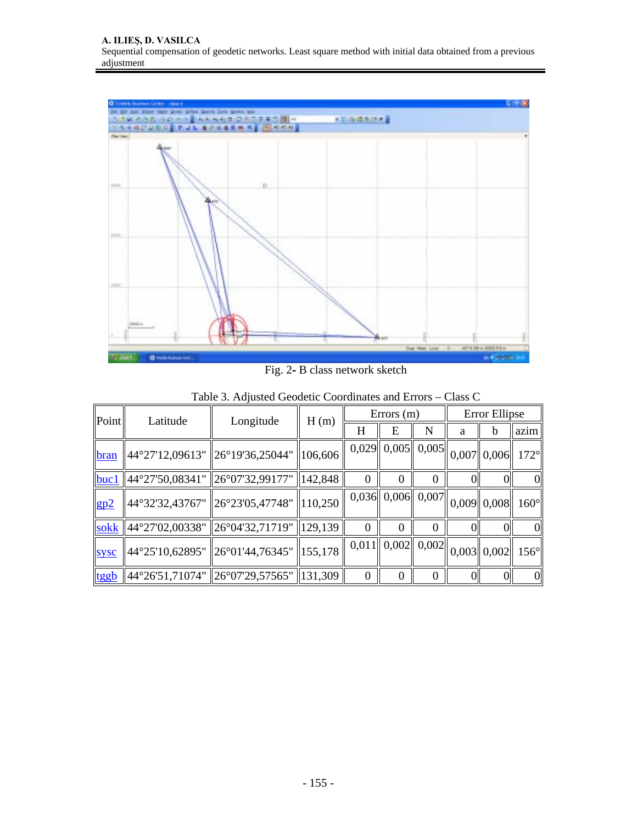

Fig. 2**-** B class network sketch

| Point       | Latitude                                                                    | Longitude                               |                     | $Errors$ (m)<br>H(m) |                                            |   |   | Error Ellipse |              |  |
|-------------|-----------------------------------------------------------------------------|-----------------------------------------|---------------------|----------------------|--------------------------------------------|---|---|---------------|--------------|--|
|             |                                                                             |                                         |                     | H                    | Е                                          | N | a | b             | azim         |  |
| bran        | $\parallel$ 44°27'12,09613" $\parallel$ 26°19'36,25044" $\parallel$ 106,606 |                                         |                     |                      | $\overline{0,029}$ 0,005 0,005 0,007 0,006 |   |   |               | $172^\circ$  |  |
| buc1        | $\parallel$ 44°27'50,08341" $\parallel$ 26°07'32,99177"                     |                                         | $\parallel$ 142,848 | 0                    |                                            |   |   |               | 01           |  |
| gp2         | $\parallel$ 44°32'32,43767" $\parallel$ 26°23'05,47748" $\parallel$ 110,250 |                                         |                     |                      | $\overline{0,036}$ 0,006 0,007 0,009 0,008 |   |   |               | $160^\circ$  |  |
|             | sokk 44°27'02,00338" 26°04'32,71719"                                        |                                         | 129, 139            | $\Omega$             | 0                                          |   |   |               | $\Omega$     |  |
| <b>sysc</b> | $\parallel$ 44°25'10,62895" $\parallel$ 26°01'44,76345" $\parallel$ 155,178 |                                         |                     |                      | $\overline{0,011}$ 0,002 0,002 0,003 0,002 |   |   |               | $156^\circ$  |  |
| tggb        |                                                                             | 44°26'51,71074" 26°07'29,57565" 131,309 |                     | $\Omega$             | $\theta$                                   |   |   |               | $\mathbf{0}$ |  |

Table 3. Adjusted Geodetic Coordinates and Errors – Class C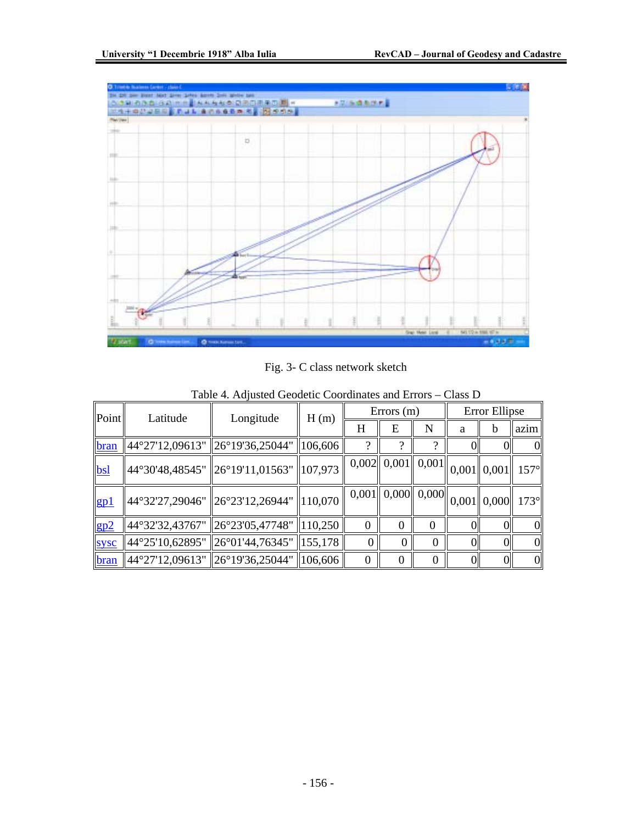

Fig. 3- C class network sketch

| Point       | Errors $(m)$<br>Longitude<br>Latitude<br>H(m) |  |                                                                                       |   | Error Ellipse |   |   |             |
|-------------|-----------------------------------------------|--|---------------------------------------------------------------------------------------|---|---------------|---|---|-------------|
|             |                                               |  | H                                                                                     | E | N             | a | b | azim        |
| bran        | 44°27'12,09613" 26°19'36,25044"   106,606     |  | $\Omega$                                                                              |   |               |   |   |             |
| <b>bsl</b>  | 44°30'48,48545" 26°19'11,01563" 107,973       |  | $\left \overline{0,002}\right \left 0,001\right \left 0,001\right \left 0,001\right $ |   |               |   |   | $157^\circ$ |
| gp1         | 44°32'27,29046"   26°23'12,26944"   110,070   |  | $\frac{1}{0,001} \left\  0,000 \right\  0,000$ $\left\  0,001 \right\  0,000$ 1 173°  |   |               |   |   |             |
| gp2         | 44°32'32,43767" 26°23'05,47748"   110,250     |  | $\Omega$                                                                              |   | 0             |   |   | $\Omega$    |
| <b>sysc</b> | 44°25'10,62895" 26°01'44,76345" 155,178       |  | 0                                                                                     |   |               |   |   |             |
| bran        | 44°27'12,09613"    26°19'36,25044"    106,606 |  | 0                                                                                     |   |               |   |   | $\Omega$    |

Table 4. Adjusted Geodetic Coordinates and Errors – Class D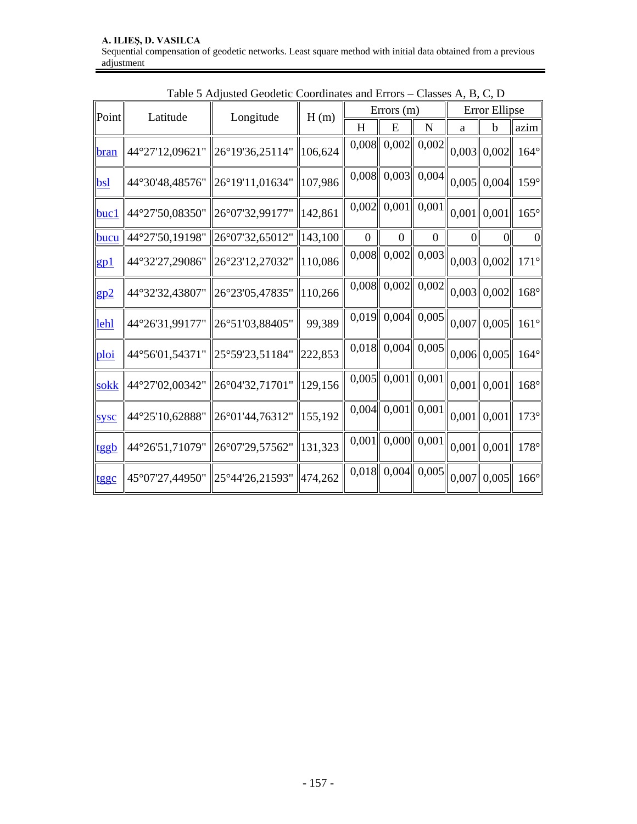|                         | Table $J$ Aufusicul Ocoucile Coordinates and Errors – Classes A, D, C, D |                                          |                                                                                                                                                                                                                                                                                                                                                                                                                                                   |                  |              |                                    |                                                                                                                                                                                               |                                                                                                                                                                                                                                                                                 |
|-------------------------|--------------------------------------------------------------------------|------------------------------------------|---------------------------------------------------------------------------------------------------------------------------------------------------------------------------------------------------------------------------------------------------------------------------------------------------------------------------------------------------------------------------------------------------------------------------------------------------|------------------|--------------|------------------------------------|-----------------------------------------------------------------------------------------------------------------------------------------------------------------------------------------------|---------------------------------------------------------------------------------------------------------------------------------------------------------------------------------------------------------------------------------------------------------------------------------|
| $\ Point\ $<br>Latitude |                                                                          |                                          |                                                                                                                                                                                                                                                                                                                                                                                                                                                   |                  |              |                                    |                                                                                                                                                                                               |                                                                                                                                                                                                                                                                                 |
|                         |                                                                          |                                          | H                                                                                                                                                                                                                                                                                                                                                                                                                                                 | E                | ${\bf N}$    | a                                  | $\mathbf b$                                                                                                                                                                                   | azim                                                                                                                                                                                                                                                                            |
|                         |                                                                          |                                          |                                                                                                                                                                                                                                                                                                                                                                                                                                                   |                  |              |                                    |                                                                                                                                                                                               | $164^\circ$                                                                                                                                                                                                                                                                     |
|                         |                                                                          |                                          |                                                                                                                                                                                                                                                                                                                                                                                                                                                   |                  |              |                                    |                                                                                                                                                                                               | $159^\circ$                                                                                                                                                                                                                                                                     |
| 44°27'50,08350"         |                                                                          |                                          |                                                                                                                                                                                                                                                                                                                                                                                                                                                   |                  |              |                                    |                                                                                                                                                                                               | $165^\circ$                                                                                                                                                                                                                                                                     |
| 44°27'50,19198"         |                                                                          |                                          | $\boldsymbol{0}$                                                                                                                                                                                                                                                                                                                                                                                                                                  | $\boldsymbol{0}$ | $\mathbf{0}$ | $\overline{0}$                     | $\Omega$                                                                                                                                                                                      | $\overline{0}$                                                                                                                                                                                                                                                                  |
| 44°32'27,29086"         |                                                                          |                                          |                                                                                                                                                                                                                                                                                                                                                                                                                                                   |                  |              |                                    |                                                                                                                                                                                               | $171^\circ$                                                                                                                                                                                                                                                                     |
| 44°32'32,43807"         | 26°23'05,47835"                                                          |                                          |                                                                                                                                                                                                                                                                                                                                                                                                                                                   |                  |              |                                    |                                                                                                                                                                                               | $168^\circ$                                                                                                                                                                                                                                                                     |
| 44°26'31,99177"         |                                                                          | 99,389                                   |                                                                                                                                                                                                                                                                                                                                                                                                                                                   |                  |              |                                    |                                                                                                                                                                                               | $161^\circ$                                                                                                                                                                                                                                                                     |
|                         |                                                                          |                                          |                                                                                                                                                                                                                                                                                                                                                                                                                                                   |                  |              |                                    |                                                                                                                                                                                               | $164^\circ$                                                                                                                                                                                                                                                                     |
|                         |                                                                          |                                          |                                                                                                                                                                                                                                                                                                                                                                                                                                                   |                  |              |                                    |                                                                                                                                                                                               | $168^\circ$                                                                                                                                                                                                                                                                     |
| 44°25'10,62888"         |                                                                          |                                          |                                                                                                                                                                                                                                                                                                                                                                                                                                                   |                  |              |                                    |                                                                                                                                                                                               | $173^\circ$                                                                                                                                                                                                                                                                     |
| 44°26'51,71079"         |                                                                          |                                          |                                                                                                                                                                                                                                                                                                                                                                                                                                                   |                  |              |                                    |                                                                                                                                                                                               | $178^\circ$                                                                                                                                                                                                                                                                     |
| 45°07'27,44950"         |                                                                          |                                          |                                                                                                                                                                                                                                                                                                                                                                                                                                                   |                  |              |                                    |                                                                                                                                                                                               | $166^\circ$                                                                                                                                                                                                                                                                     |
|                         |                                                                          | Longitude<br>$\ 26^{\circ}51'03,88405''$ | H(m)<br> 44°27'12,09621"   26°19'36,25114"   106,624<br>44°30'48,48576" 26°19'11,01634" 107,986<br>  26°07'32,99177"   142,861<br>$\ 26^{\circ}07'32,65012''\ 143,100$<br>  26°23'12,27032"   110,086<br> 110,266<br>44°56'01,54371" 25°59'23,51184" 222,853<br>  44°27'02,00342"   26°04'32,71701"   129,156<br>$\ 26^{\circ}01'44,76312''\ 155,192$<br>  26°07'29,57562"   131,323<br>$\ 25^{\circ}44^{\prime}26,21593^{\prime\prime}\ 474,262$ |                  |              | Errors $(m)$<br>$0,005$    $0,001$ | $0,008$ 0,002 0,002<br>$0,008$ 0,003 0,004<br>$0,002$ 0,001 0,001<br>$0,019$ 0,004 0,005<br>$0,018$ 0,004 0,005<br>0,001<br>$0,004$ 0,001 0,001<br>$0,001$ 0,000 0,001<br>$0,018$ 0,004 0,005 | Error Ellipse<br>$0,003$ 0,002<br>$0,005$    0,004  <br>$0,001$ 0,001<br>$\overline{0,008}$ 0,002 0,003 0,003 0,002<br>$\overline{0,008}$ 0,002 0,002 0,003 0,002<br>$0,007$    $0,005$   <br>$0,006$ 0,005<br>$0,001$ 0,001<br>$0,001$ 0,001<br>$0,001$ 0,001<br>$0,007$ 0,005 |

Table 5 Adjusted Geodetic Coordinates and Errors – Classes A, B, C, D